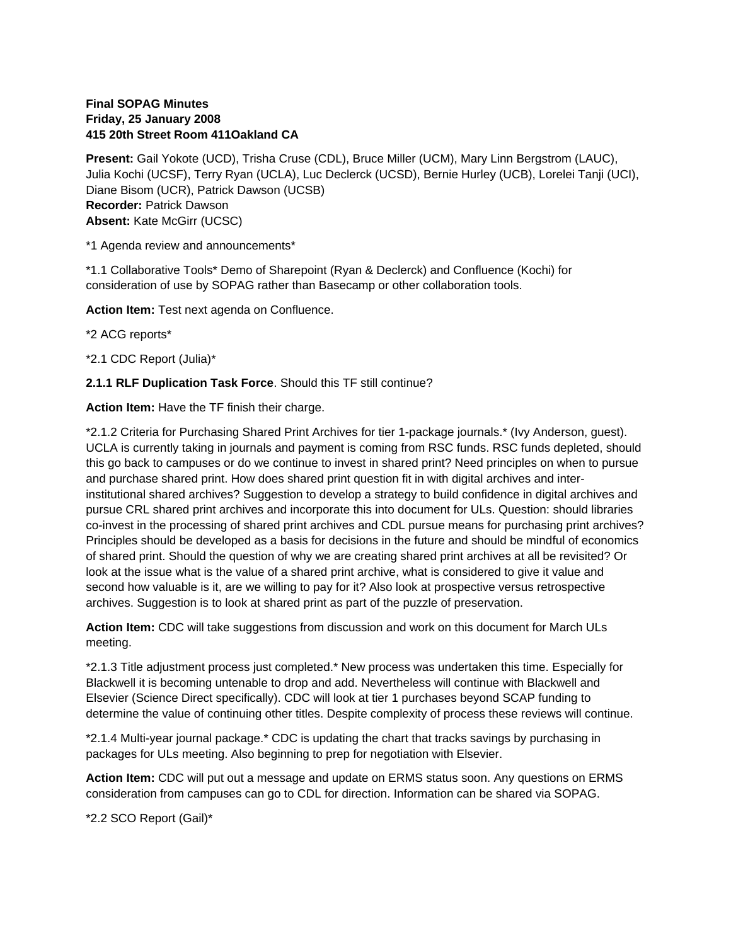## **Final SOPAG Minutes Friday, 25 January 2008 415 20th Street Room 411Oakland CA**

**Present:** Gail Yokote (UCD), Trisha Cruse (CDL), Bruce Miller (UCM), Mary Linn Bergstrom (LAUC), Julia Kochi (UCSF), Terry Ryan (UCLA), Luc Declerck (UCSD), Bernie Hurley (UCB), Lorelei Tanji (UCI), Diane Bisom (UCR), Patrick Dawson (UCSB) **Recorder:** Patrick Dawson **Absent:** Kate McGirr (UCSC)

\*1 Agenda review and announcements\*

\*1.1 Collaborative Tools\* Demo of Sharepoint (Ryan & Declerck) and Confluence (Kochi) for consideration of use by SOPAG rather than Basecamp or other collaboration tools.

**Action Item:** Test next agenda on Confluence.

\*2 ACG reports\*

\*2.1 CDC Report (Julia)\*

**2.1.1 RLF Duplication Task Force**. Should this TF still continue?

**Action Item:** Have the TF finish their charge.

\*2.1.2 Criteria for Purchasing Shared Print Archives for tier 1-package journals.\* (Ivy Anderson, guest). UCLA is currently taking in journals and payment is coming from RSC funds. RSC funds depleted, should this go back to campuses or do we continue to invest in shared print? Need principles on when to pursue and purchase shared print. How does shared print question fit in with digital archives and interinstitutional shared archives? Suggestion to develop a strategy to build confidence in digital archives and pursue CRL shared print archives and incorporate this into document for ULs. Question: should libraries co-invest in the processing of shared print archives and CDL pursue means for purchasing print archives? Principles should be developed as a basis for decisions in the future and should be mindful of economics of shared print. Should the question of why we are creating shared print archives at all be revisited? Or look at the issue what is the value of a shared print archive, what is considered to give it value and second how valuable is it, are we willing to pay for it? Also look at prospective versus retrospective archives. Suggestion is to look at shared print as part of the puzzle of preservation.

**Action Item:** CDC will take suggestions from discussion and work on this document for March ULs meeting.

\*2.1.3 Title adjustment process just completed.\* New process was undertaken this time. Especially for Blackwell it is becoming untenable to drop and add. Nevertheless will continue with Blackwell and Elsevier (Science Direct specifically). CDC will look at tier 1 purchases beyond SCAP funding to determine the value of continuing other titles. Despite complexity of process these reviews will continue.

\*2.1.4 Multi-year journal package.\* CDC is updating the chart that tracks savings by purchasing in packages for ULs meeting. Also beginning to prep for negotiation with Elsevier.

**Action Item:** CDC will put out a message and update on ERMS status soon. Any questions on ERMS consideration from campuses can go to CDL for direction. Information can be shared via SOPAG.

\*2.2 SCO Report (Gail)\*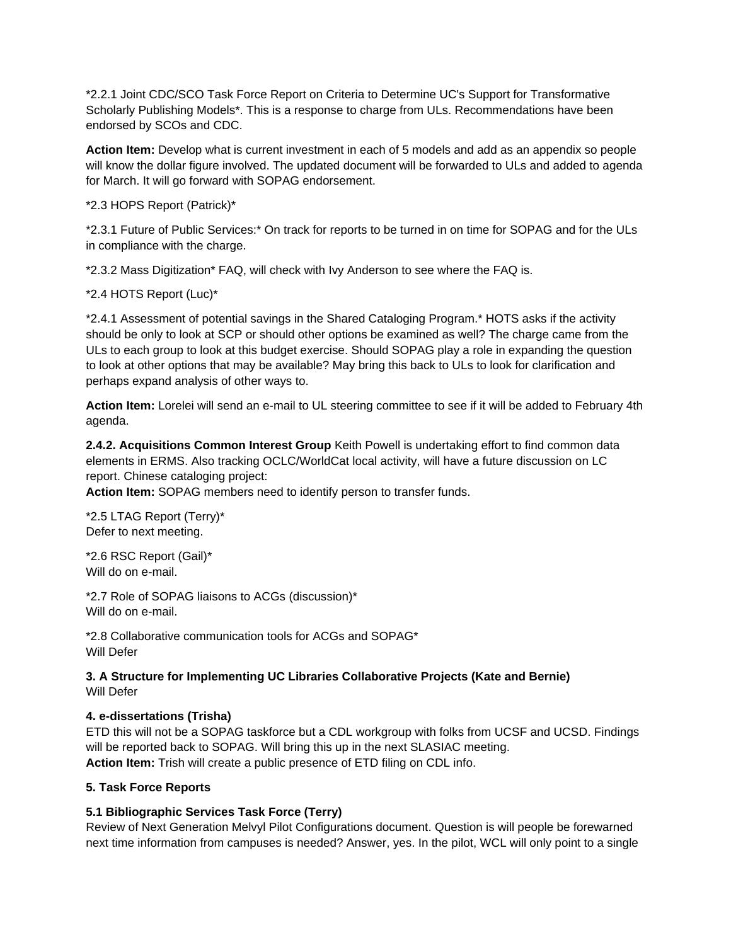\*2.2.1 Joint CDC/SCO Task Force Report on Criteria to Determine UC's Support for Transformative Scholarly Publishing Models\*. This is a response to charge from ULs. Recommendations have been endorsed by SCOs and CDC.

**Action Item:** Develop what is current investment in each of 5 models and add as an appendix so people will know the dollar figure involved. The updated document will be forwarded to ULs and added to agenda for March. It will go forward with SOPAG endorsement.

\*2.3 HOPS Report (Patrick)\*

\*2.3.1 Future of Public Services:\* On track for reports to be turned in on time for SOPAG and for the ULs in compliance with the charge.

\*2.3.2 Mass Digitization\* FAQ, will check with Ivy Anderson to see where the FAQ is.

\*2.4 HOTS Report (Luc)\*

\*2.4.1 Assessment of potential savings in the Shared Cataloging Program.\* HOTS asks if the activity should be only to look at SCP or should other options be examined as well? The charge came from the ULs to each group to look at this budget exercise. Should SOPAG play a role in expanding the question to look at other options that may be available? May bring this back to ULs to look for clarification and perhaps expand analysis of other ways to.

**Action Item:** Lorelei will send an e-mail to UL steering committee to see if it will be added to February 4th agenda.

**2.4.2. Acquisitions Common Interest Group** Keith Powell is undertaking effort to find common data elements in ERMS. Also tracking OCLC/WorldCat local activity, will have a future discussion on LC report. Chinese cataloging project:

**Action Item:** SOPAG members need to identify person to transfer funds.

\*2.5 LTAG Report (Terry)\* Defer to next meeting.

\*2.6 RSC Report (Gail)\* Will do on e-mail.

\*2.7 Role of SOPAG liaisons to ACGs (discussion)\* Will do on e-mail.

\*2.8 Collaborative communication tools for ACGs and SOPAG\* Will Defer

**3. A Structure for Implementing UC Libraries Collaborative Projects (Kate and Bernie)** Will Defer

## **4. e-dissertations (Trisha)**

ETD this will not be a SOPAG taskforce but a CDL workgroup with folks from UCSF and UCSD. Findings will be reported back to SOPAG. Will bring this up in the next SLASIAC meeting. **Action Item:** Trish will create a public presence of ETD filing on CDL info.

## **5. Task Force Reports**

## **5.1 Bibliographic Services Task Force (Terry)**

Review of Next Generation Melvyl Pilot Configurations document. Question is will people be forewarned next time information from campuses is needed? Answer, yes. In the pilot, WCL will only point to a single